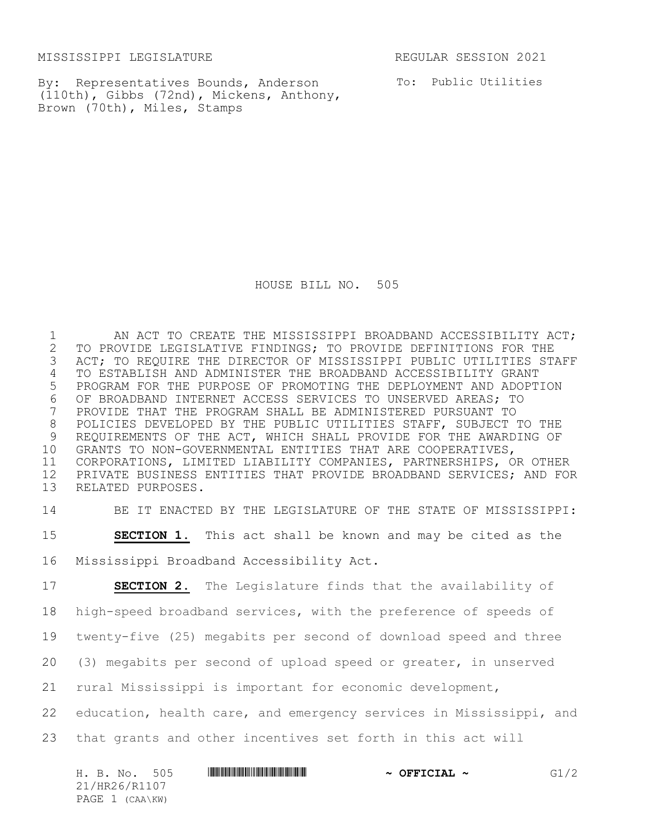MISSISSIPPI LEGISLATURE REGULAR SESSION 2021

By: Representatives Bounds, Anderson (110th), Gibbs (72nd), Mickens, Anthony, Brown (70th), Miles, Stamps

To: Public Utilities

HOUSE BILL NO. 505

1 AN ACT TO CREATE THE MISSISSIPPI BROADBAND ACCESSIBILITY ACT; 2 TO PROVIDE LEGISLATIVE FINDINGS; TO PROVIDE DEFINITIONS FOR THE<br>3 ACT; TO REQUIRE THE DIRECTOR OF MISSISSIPPI PUBLIC UTILITIES ST. ACT; TO REQUIRE THE DIRECTOR OF MISSISSIPPI PUBLIC UTILITIES STAFF TO ESTABLISH AND ADMINISTER THE BROADBAND ACCESSIBILITY GRANT PROGRAM FOR THE PURPOSE OF PROMOTING THE DEPLOYMENT AND ADOPTION 6 OF BROADBAND INTERNET ACCESS SERVICES TO UNSERVED AREAS; TO<br>7 PROVIDE THAT THE PROGRAM SHALL BE ADMINISTERED PURSUANT TO PROVIDE THAT THE PROGRAM SHALL BE ADMINISTERED PURSUANT TO POLICIES DEVELOPED BY THE PUBLIC UTILITIES STAFF, SUBJECT TO THE 9 REQUIREMENTS OF THE ACT, WHICH SHALL PROVIDE FOR THE AWARDING OF 10 GRANTS TO NON-GOVERNMENTAL ENTITIES THAT ARE COOPERATIVES. GRANTS TO NON-GOVERNMENTAL ENTITIES THAT ARE COOPERATIVES, CORPORATIONS, LIMITED LIABILITY COMPANIES, PARTNERSHIPS, OR OTHER PRIVATE BUSINESS ENTITIES THAT PROVIDE BROADBAND SERVICES; AND FOR RELATED PURPOSES.

14 BE IT ENACTED BY THE LEGISLATURE OF THE STATE OF MISSISSIPPI:

15 **SECTION 1.** This act shall be known and may be cited as the 16 Mississippi Broadband Accessibility Act.

 **SECTION 2.** The Legislature finds that the availability of high-speed broadband services, with the preference of speeds of twenty-five (25) megabits per second of download speed and three (3) megabits per second of upload speed or greater, in unserved rural Mississippi is important for economic development, education, health care, and emergency services in Mississippi, and that grants and other incentives set forth in this act will

| H. B. No. 505   | $\sim$ OFFICIAL $\sim$ | G1/2 |
|-----------------|------------------------|------|
| 21/HR26/R1107   |                        |      |
| PAGE 1 (CAA\KW) |                        |      |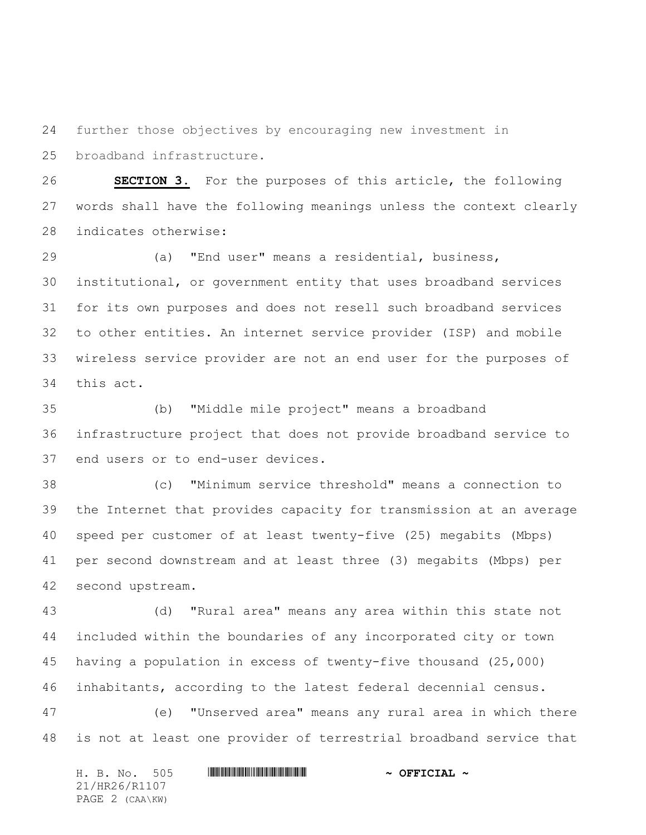further those objectives by encouraging new investment in broadband infrastructure.

 **SECTION 3.** For the purposes of this article, the following words shall have the following meanings unless the context clearly indicates otherwise:

 (a) "End user" means a residential, business, institutional, or government entity that uses broadband services for its own purposes and does not resell such broadband services to other entities. An internet service provider (ISP) and mobile wireless service provider are not an end user for the purposes of this act.

 (b) "Middle mile project" means a broadband infrastructure project that does not provide broadband service to end users or to end-user devices.

 (c) "Minimum service threshold" means a connection to the Internet that provides capacity for transmission at an average speed per customer of at least twenty-five (25) megabits (Mbps) per second downstream and at least three (3) megabits (Mbps) per second upstream.

 (d) "Rural area" means any area within this state not included within the boundaries of any incorporated city or town having a population in excess of twenty-five thousand (25,000) inhabitants, according to the latest federal decennial census.

 (e) "Unserved area" means any rural area in which there is not at least one provider of terrestrial broadband service that

H. B. No. 505 \*HR26/R1107\* **~ OFFICIAL ~** 21/HR26/R1107 PAGE 2 (CAA\KW)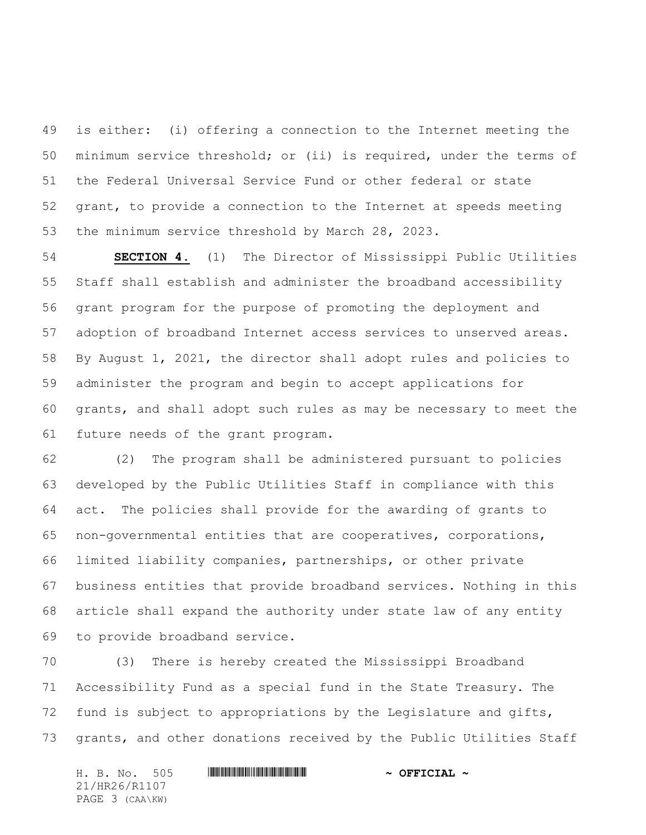is either: (i) offering a connection to the Internet meeting the minimum service threshold; or (ii) is required, under the terms of the Federal Universal Service Fund or other federal or state grant, to provide a connection to the Internet at speeds meeting the minimum service threshold by March 28, 2023.

 **SECTION 4.** (1) The Director of Mississippi Public Utilities Staff shall establish and administer the broadband accessibility grant program for the purpose of promoting the deployment and adoption of broadband Internet access services to unserved areas. By August 1, 2021, the director shall adopt rules and policies to administer the program and begin to accept applications for grants, and shall adopt such rules as may be necessary to meet the future needs of the grant program.

 (2) The program shall be administered pursuant to policies developed by the Public Utilities Staff in compliance with this act. The policies shall provide for the awarding of grants to non-governmental entities that are cooperatives, corporations, limited liability companies, partnerships, or other private business entities that provide broadband services. Nothing in this article shall expand the authority under state law of any entity to provide broadband service.

 (3) There is hereby created the Mississippi Broadband Accessibility Fund as a special fund in the State Treasury. The fund is subject to appropriations by the Legislature and gifts, grants, and other donations received by the Public Utilities Staff

H. B. No. 505 \*HR26/R1107\* **~ OFFICIAL ~** 21/HR26/R1107 PAGE 3 (CAA\KW)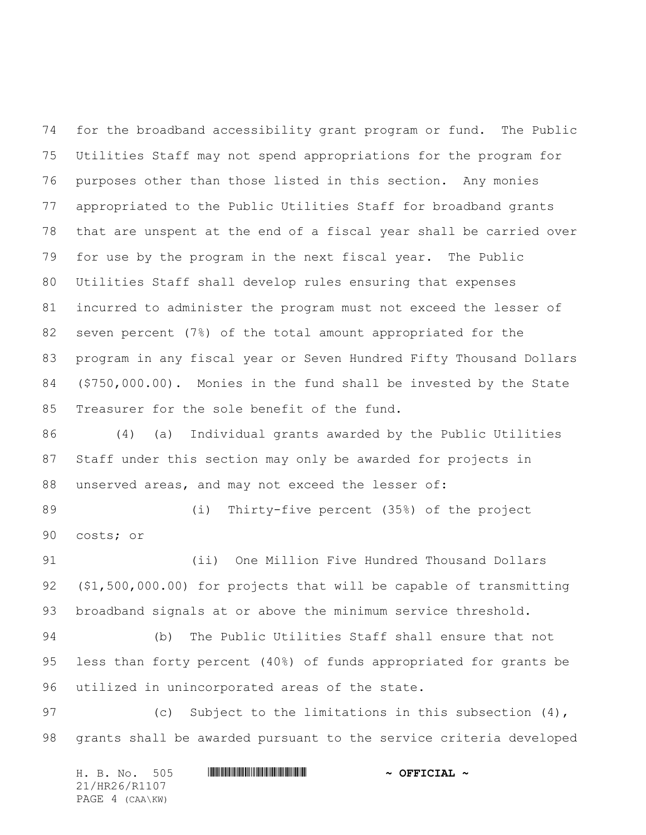for the broadband accessibility grant program or fund. The Public Utilities Staff may not spend appropriations for the program for purposes other than those listed in this section. Any monies appropriated to the Public Utilities Staff for broadband grants that are unspent at the end of a fiscal year shall be carried over for use by the program in the next fiscal year. The Public Utilities Staff shall develop rules ensuring that expenses incurred to administer the program must not exceed the lesser of seven percent (7%) of the total amount appropriated for the program in any fiscal year or Seven Hundred Fifty Thousand Dollars (\$750,000.00). Monies in the fund shall be invested by the State Treasurer for the sole benefit of the fund.

 (4) (a) Individual grants awarded by the Public Utilities Staff under this section may only be awarded for projects in unserved areas, and may not exceed the lesser of:

 (i) Thirty-five percent (35%) of the project costs; or

 (ii) One Million Five Hundred Thousand Dollars (\$1,500,000.00) for projects that will be capable of transmitting broadband signals at or above the minimum service threshold.

 (b) The Public Utilities Staff shall ensure that not less than forty percent (40%) of funds appropriated for grants be utilized in unincorporated areas of the state.

97 (c) Subject to the limitations in this subsection (4), grants shall be awarded pursuant to the service criteria developed

|  | H. B. No. 505   |  | $\sim$ OFFICIAL $\sim$ |
|--|-----------------|--|------------------------|
|  | 21/HR26/R1107   |  |                        |
|  | PAGE 4 (CAA\KW) |  |                        |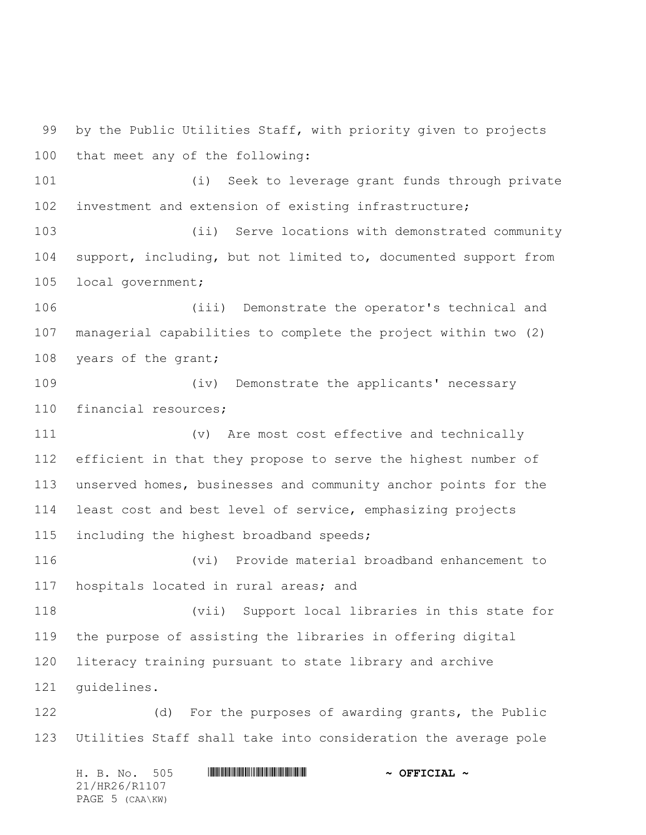by the Public Utilities Staff, with priority given to projects that meet any of the following:

 (i) Seek to leverage grant funds through private investment and extension of existing infrastructure;

 (ii) Serve locations with demonstrated community support, including, but not limited to, documented support from local government;

 (iii) Demonstrate the operator's technical and managerial capabilities to complete the project within two (2) 108 years of the grant;

 (iv) Demonstrate the applicants' necessary financial resources;

 (v) Are most cost effective and technically efficient in that they propose to serve the highest number of unserved homes, businesses and community anchor points for the least cost and best level of service, emphasizing projects 115 including the highest broadband speeds;

 (vi) Provide material broadband enhancement to hospitals located in rural areas; and

 (vii) Support local libraries in this state for the purpose of assisting the libraries in offering digital literacy training pursuant to state library and archive guidelines.

 (d) For the purposes of awarding grants, the Public Utilities Staff shall take into consideration the average pole

H. B. No. 505 \*HR26/R1107\* **~ OFFICIAL ~** 21/HR26/R1107 PAGE 5 (CAA\KW)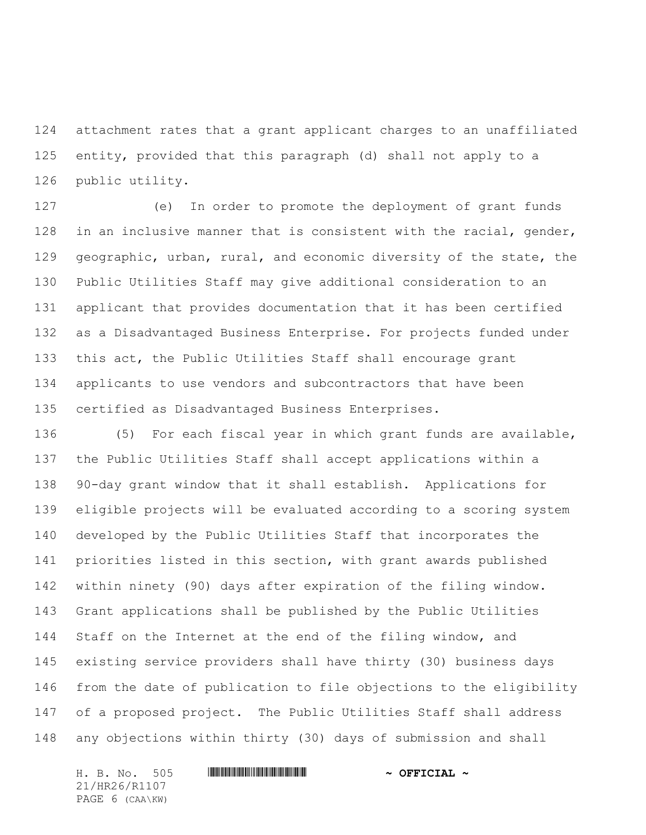attachment rates that a grant applicant charges to an unaffiliated entity, provided that this paragraph (d) shall not apply to a public utility.

 (e) In order to promote the deployment of grant funds 128 in an inclusive manner that is consistent with the racial, gender, geographic, urban, rural, and economic diversity of the state, the Public Utilities Staff may give additional consideration to an applicant that provides documentation that it has been certified as a Disadvantaged Business Enterprise. For projects funded under this act, the Public Utilities Staff shall encourage grant applicants to use vendors and subcontractors that have been certified as Disadvantaged Business Enterprises.

 (5) For each fiscal year in which grant funds are available, the Public Utilities Staff shall accept applications within a 90-day grant window that it shall establish. Applications for eligible projects will be evaluated according to a scoring system developed by the Public Utilities Staff that incorporates the priorities listed in this section, with grant awards published within ninety (90) days after expiration of the filing window. Grant applications shall be published by the Public Utilities 144 Staff on the Internet at the end of the filing window, and existing service providers shall have thirty (30) business days from the date of publication to file objections to the eligibility of a proposed project. The Public Utilities Staff shall address any objections within thirty (30) days of submission and shall

21/HR26/R1107 PAGE 6 (CAA\KW)

H. B. No. 505 \*HR26/R1107\* **~ OFFICIAL ~**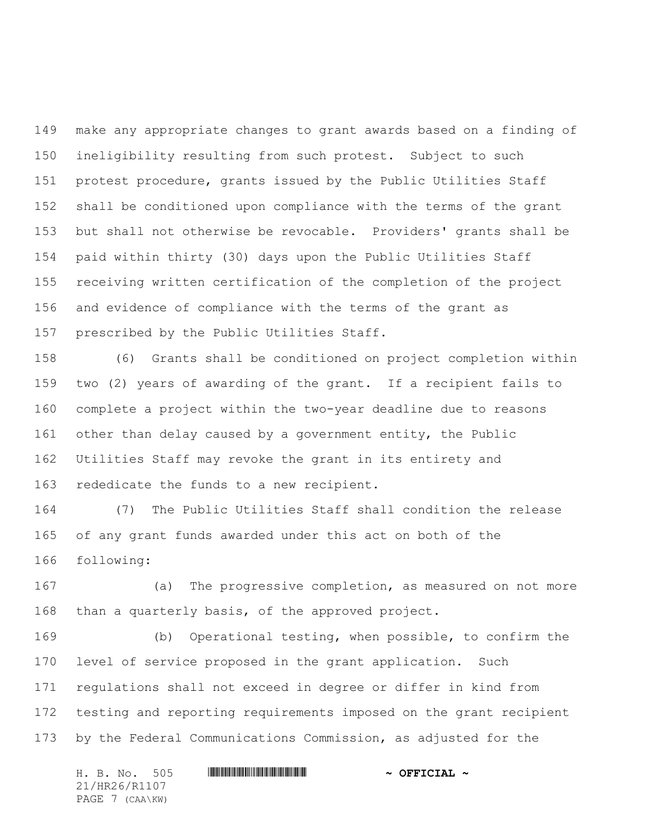make any appropriate changes to grant awards based on a finding of ineligibility resulting from such protest. Subject to such protest procedure, grants issued by the Public Utilities Staff shall be conditioned upon compliance with the terms of the grant but shall not otherwise be revocable. Providers' grants shall be paid within thirty (30) days upon the Public Utilities Staff receiving written certification of the completion of the project and evidence of compliance with the terms of the grant as prescribed by the Public Utilities Staff.

 (6) Grants shall be conditioned on project completion within two (2) years of awarding of the grant. If a recipient fails to complete a project within the two-year deadline due to reasons other than delay caused by a government entity, the Public Utilities Staff may revoke the grant in its entirety and rededicate the funds to a new recipient.

 (7) The Public Utilities Staff shall condition the release of any grant funds awarded under this act on both of the following:

 (a) The progressive completion, as measured on not more than a quarterly basis, of the approved project.

 (b) Operational testing, when possible, to confirm the level of service proposed in the grant application. Such regulations shall not exceed in degree or differ in kind from testing and reporting requirements imposed on the grant recipient by the Federal Communications Commission, as adjusted for the

| H. B. No. 505   |  | $\sim$ OFFICIAL $\sim$ |  |  |  |  |
|-----------------|--|------------------------|--|--|--|--|
| 21/HR26/R1107   |  |                        |  |  |  |  |
| PAGE 7 (CAA\KW) |  |                        |  |  |  |  |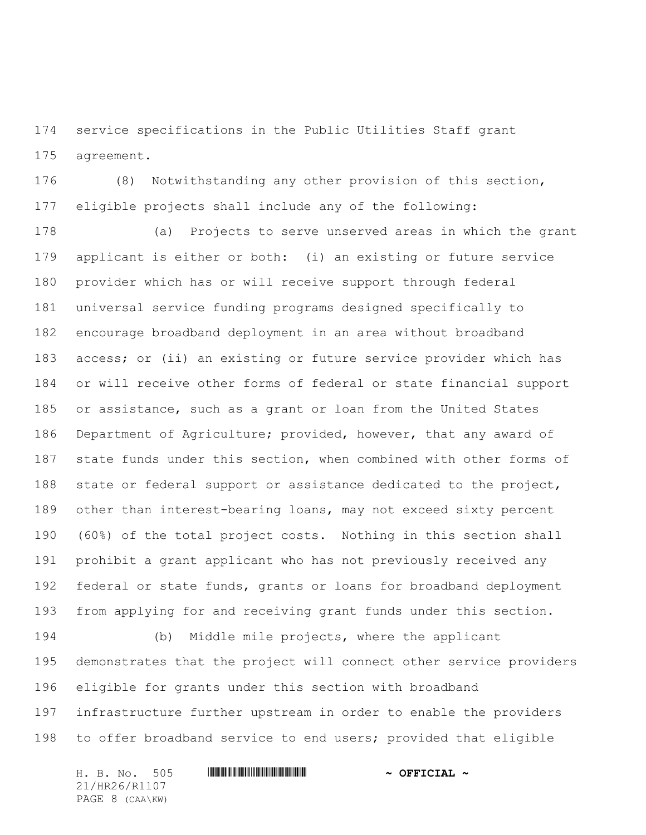service specifications in the Public Utilities Staff grant agreement.

 (8) Notwithstanding any other provision of this section, eligible projects shall include any of the following:

 (a) Projects to serve unserved areas in which the grant applicant is either or both: (i) an existing or future service provider which has or will receive support through federal universal service funding programs designed specifically to encourage broadband deployment in an area without broadband access; or (ii) an existing or future service provider which has or will receive other forms of federal or state financial support or assistance, such as a grant or loan from the United States Department of Agriculture; provided, however, that any award of state funds under this section, when combined with other forms of 188 state or federal support or assistance dedicated to the project, other than interest-bearing loans, may not exceed sixty percent (60%) of the total project costs. Nothing in this section shall prohibit a grant applicant who has not previously received any federal or state funds, grants or loans for broadband deployment from applying for and receiving grant funds under this section.

 (b) Middle mile projects, where the applicant demonstrates that the project will connect other service providers eligible for grants under this section with broadband infrastructure further upstream in order to enable the providers to offer broadband service to end users; provided that eligible

H. B. No. 505 \*HR26/R1107\* **~ OFFICIAL ~** 21/HR26/R1107 PAGE 8 (CAA\KW)